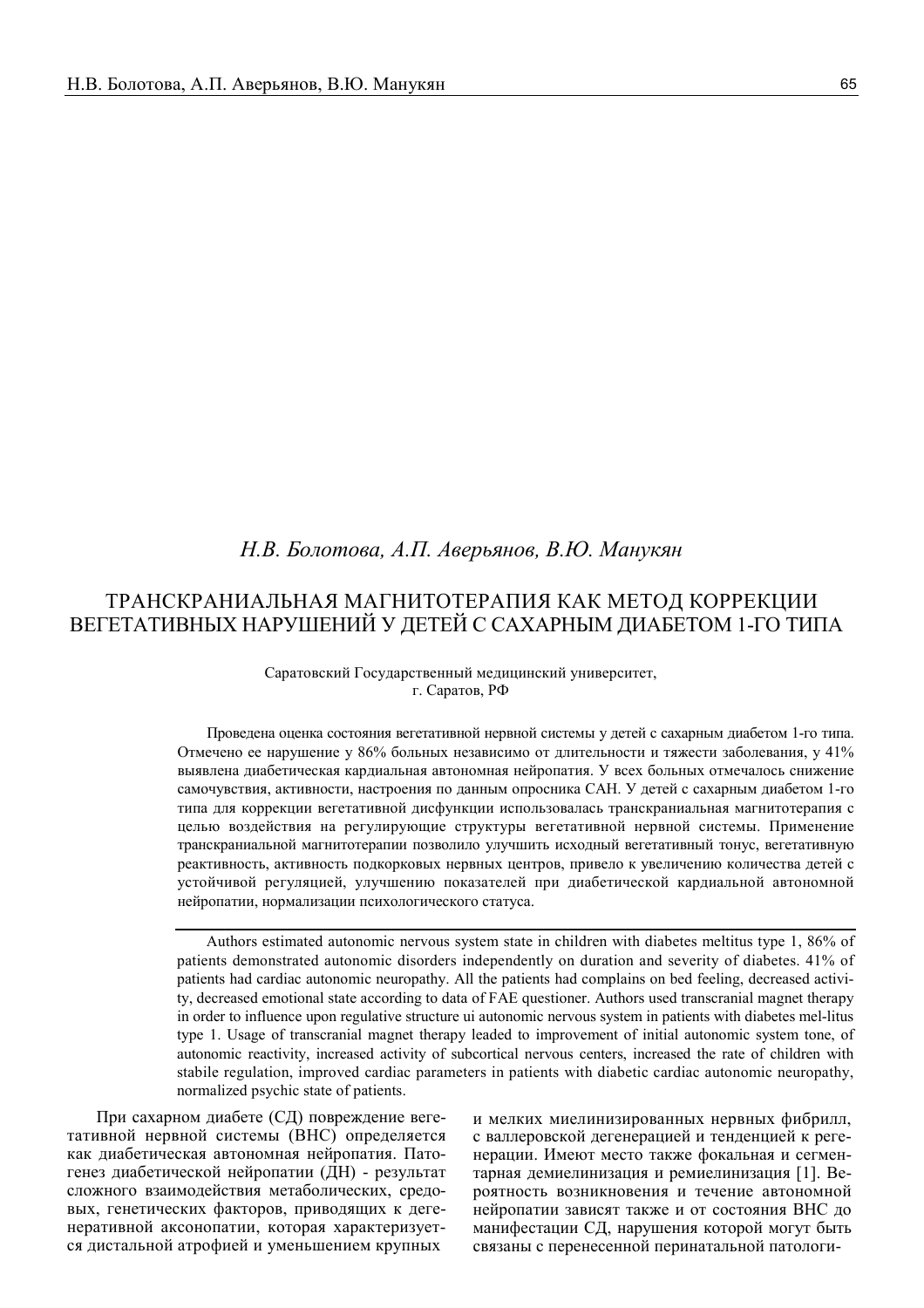# Н.В. Болотова, А.П. Аверьянов, В.Ю. Манукян

# ТРАНСКРАНИАЛЬНАЯ МАГНИТОТЕРАПИЯ КАК МЕТОД КОРРЕКЦИИ ВЕГЕТАТИВНЫХ НАРУШЕНИЙ У ДЕТЕЙ С САХАРНЫМ ДИАБЕТОМ 1-ГО ТИПА

# Саратовский Государственный мелицинский университет. г. Саратов, РФ

Проведена оценка состояния вегетативной нервной системы у детей с сахарным диабетом 1-го типа. Отмечено ее нарушение у 86% больных независимо от длительности и тяжести заболевания, у 41% выявлена диабетическая кардиальная автономная нейропатия. У всех больных отмечалось снижение самочувствия, активности, настроения по данным опросника САН. У детей с сахарным диабетом 1-го типа для коррекции вегетативной дисфункции использовалась транскраниальная магнитотерапия с целью воздействия на регулирующие структуры вегетативной нервной системы. Применение транскраниальной магнитотерапии позволило улучшить исходный вегетативный тонус, вегетативную реактивность, активность подкорковых нервных центров, привело к увеличению количества детей с устойчивой регуляцией, улучшению показателей при диабетической кардиальной автономной нейропатии, нормализации психологического статуса.

Authors estimated autonomic nervous system state in children with diabetes meltitus type 1, 86% of patients demonstrated autonomic disorders independently on duration and severity of diabetes. 41% of patients had cardiac autonomic neuropathy. All the patients had complains on bed feeling, decreased activity, decreased emotional state according to data of FAE questioner. Authors used transcranial magnet therapy in order to influence upon regulative structure ui autonomic nervous system in patients with diabetes mel-litus type 1. Usage of transcranial magnet therapy leaded to improvement of initial autonomic system tone, of autonomic reactivity, increased activity of subcortical nervous centers, increased the rate of children with stabile regulation, improved cardiac parameters in patients with diabetic cardiac autonomic neuropathy, normalized psychic state of patients.

При сахарном диабете (СД) повреждение вегетативной нервной системы (ВНС) определяется как диабетическая автономная нейропатия. Патогенез диабетической нейропатии (ДН) - результат сложного взаимодействия метаболических, средовых, генетических факторов, приводящих к дегенеративной аксонопатии, которая характеризуется дистальной атрофией и уменьшением крупных

и мелких миелинизированных нервных фибрилл, с валлеровской дегенерацией и тенденцией к регенерации. Имеют место также фокальная и сегментарная демиелинизация и ремиелинизация [1]. Вероятность возникновения и течение автономной нейропатии зависят также и от состояния ВНС до манифестации СД, нарушения которой могут быть связаны с перенесенной перинатальной патологи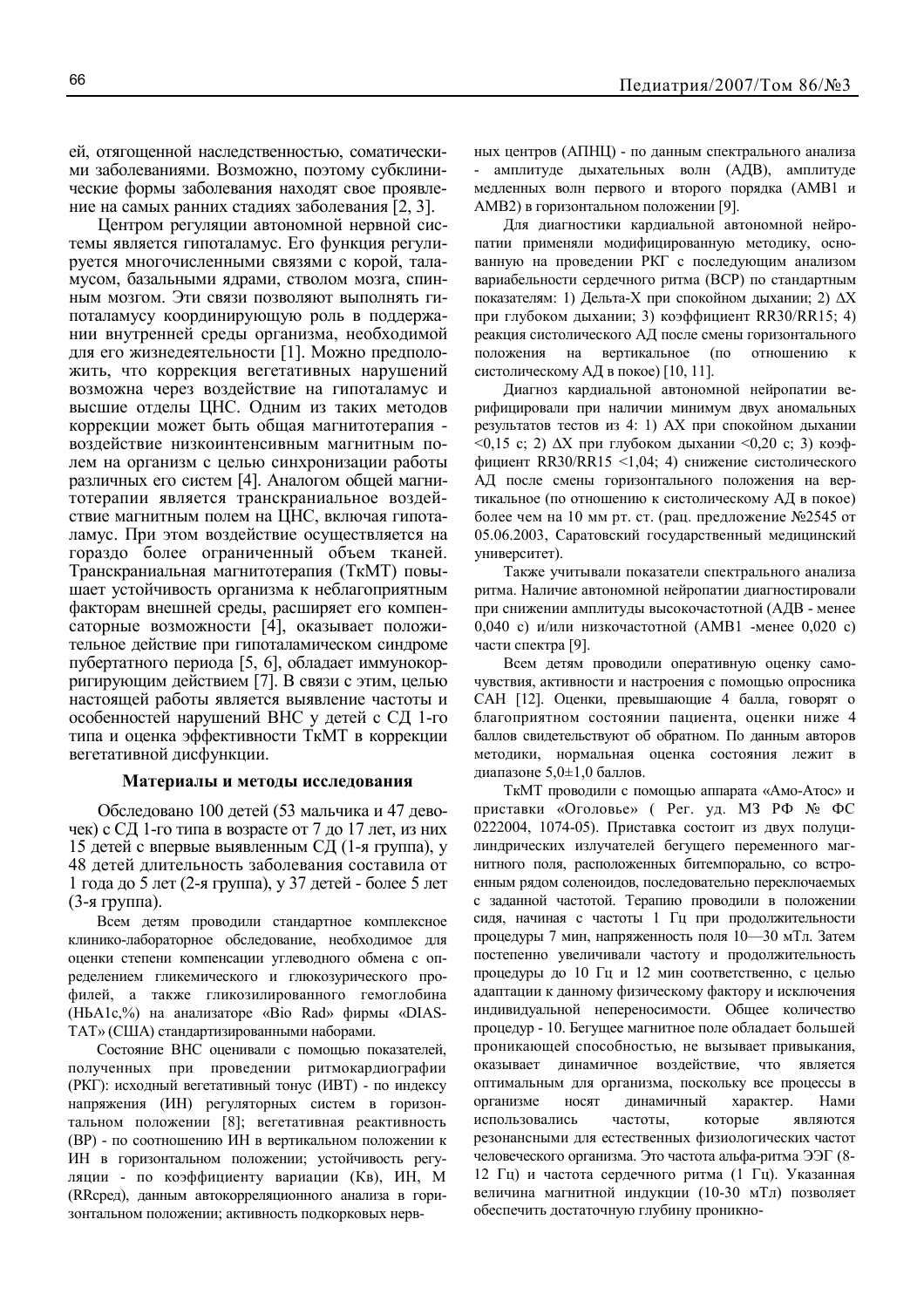ей, отягощенной наследственностью, соматическими заболеваниями. Возможно, поэтому субклинические формы заболевания находят свое проявление на самых ранних стадиях заболевания [2, 3].

Центром регуляции автономной нервной системы является гипоталамус. Его функция регулируется многочисленными связями с корой, таламусом, базальными ядрами, стволом мозга, спинным мозгом. Эти связи позволяют выполнять гипоталамусу координирующую роль в поддержании внутренней среды организма, необходимой лля его жизнелеятельности [1]. Можно предположить, что коррекция вегетативных нарушений возможна через воздействие на гипоталамус и высшие отделы ЦНС. Одним из таких методов коррекции может быть общая магнитотерапия воздействие низкоинтенсивным магнитным полем на организм с целью синхронизации работы различных его систем [4]. Аналогом общей магнитотерапии является транскраниальное воздействие магнитным полем на ЦНС, включая гипоталамус. При этом воздействие осуществляется на гораздо более ограниченный объем тканей. Транскраниальная магнитотерапия (ТкМТ) повышает устойчивость организма к неблагоприятным факторам внешней среды, расширяет его компенсаторные возможности [4], оказывает положительное действие при гипоталамическом синдроме пубертатного периода [5, 6], обладает иммунокорригирующим действием [7]. В связи с этим, целью настоящей работы является выявление частоты и особенностей нарушений ВНС у детей с СД 1-го типа и оценка эффективности ТкМТ в коррекции вегетативной дисфункции.

### Материалы и методы исследования

Обследовано 100 детей (53 мальчика и 47 девочек) с СД 1-го типа в возрасте от 7 до 17 лет, из них 15 детей с впервые выявленным СД (1-я группа), у 48 детей длительность заболевания составила от 1 года до 5 лет (2-я группа), у 37 детей - более 5 лет  $(3-x$  группа).

Всем детям проводили стандартное комплексное клинико-лабораторное обследование, необходимое для оценки степени компенсации углеводного обмена с определением гликемического и глюкозурического профилей, а также гликозилированного гемоглобина (HbA1c,%) на анализаторе «Bio Rad» фирмы «DIAS-ТАТ» (США) стандартизированными наборами.

Состояние ВНС оценивали с помощью показателей, полученных при проведении ритмокардиографии (РКГ): исходный вегетативный тонус (ИВТ) - по индексу напряжения (ИН) регуляторных систем в горизонтальном положении [8]; вегетативная реактивность (BP) - по соотношению ИН в вертикальном положении к ИН в горизонтальном положении; устойчивость регуляции - по коэффициенту вариации (Кв), ИН, М (RRсред), данным автокорреляционного анализа в горизонтальном положении; активность подкорковых нервных центров (АПНЦ) - по данным спектрального анализа амплитуле лыхательных волн (АЛВ), амплитуле медленных волн первого и второго порядка (АМВ1 и АМВ2) в горизонтальном положении [9].

Для диагностики кардиальной автономной нейропатии применяли модифицированную методику, основанную на проведении РКГ с последующим анализом вариабельности сердечного ритма (ВСР) по стандартным показателям: 1) Дельта-Х при спокойном дыхании; 2)  $\Delta X$ при глубоком дыхании; 3) коэффициент RR30/RR15; 4) реакция систолического АЛ после смены горизонтального вертикальное (по отношению положения на систолическому АД в покое) [10, 11].

Диагноз кардиальной автономной нейропатии верифицировали при наличии минимум двух аномальных результатов тестов из 4: 1) АХ при спокойном дыхании  $\leq 0.15$  c; 2)  $\Delta X$  при глубоком дыхании  $\leq 0.20$  c; 3) коэффициент RR30/RR15 <1,04; 4) снижение систолического АД после смены горизонтального положения на вертикальное (по отношению к систолическому АД в покое) более чем на 10 мм рт. ст. (рац. предложение №2545 от 05.06.2003, Саратовский государственный медицинский университет).

Также учитывали показатели спектрального анализа ритма. Наличие автономной нейропатии диагностировали при снижении амплитуды высокочастотной (АДВ - менее 0,040 с) и/или низкочастотной (АМВ1 -менее 0,020 с) части спектра [9].

Всем детям проводили оперативную оценку самочувствия, активности и настроения с помощью опросника САН [12]. Оценки, превышающие 4 балла, говорят о благоприятном состоянии пациента, оценки ниже 4 баллов свидетельствуют об обратном. По данным авторов методики, нормальная оценка состояния лежит в диапазоне 5,0±1,0 баллов.

ТкМТ проводили с помощью аппарата «Амо-Атос» и приставки «Оголовье» (Рег. уд. МЗ РФ № ФС 0222004, 1074-05). Приставка состоит из двух полуцилиндрических излучателей бегущего переменного магнитного поля, расположенных битемпорально, со встроенным рядом соленоидов, последовательно переключаемых с заданной частотой. Терапию проводили в положении сидя, начиная с частоты 1 Гц при продолжительности процедуры 7 мин, напряженность поля 10-30 мТл. Затем постепенно увеличивали частоту и продолжительность процедуры до 10 Гц и 12 мин соответственно, с целью адаптации к данному физическому фактору и исключения индивидуальной непереносимости. Общее количество процедур - 10. Бегущее магнитное поле обладает большей проникающей способностью, не вызывает привыкания, оказывает динамичное воздействие, что является оптимальным для организма, поскольку все процессы в организме носят динамичный характер. Нами использовались частоты. которые ЯВЛЯЮТСЯ резонансными для естественных физиологических частот человеческого организма. Это частота альфа-ритма ЭЭГ (8-12 Гц) и частота сердечного ритма (1 Гц). Указанная величина магнитной индукции (10-30 мТл) позволяет обеспечить достаточную глубину проникно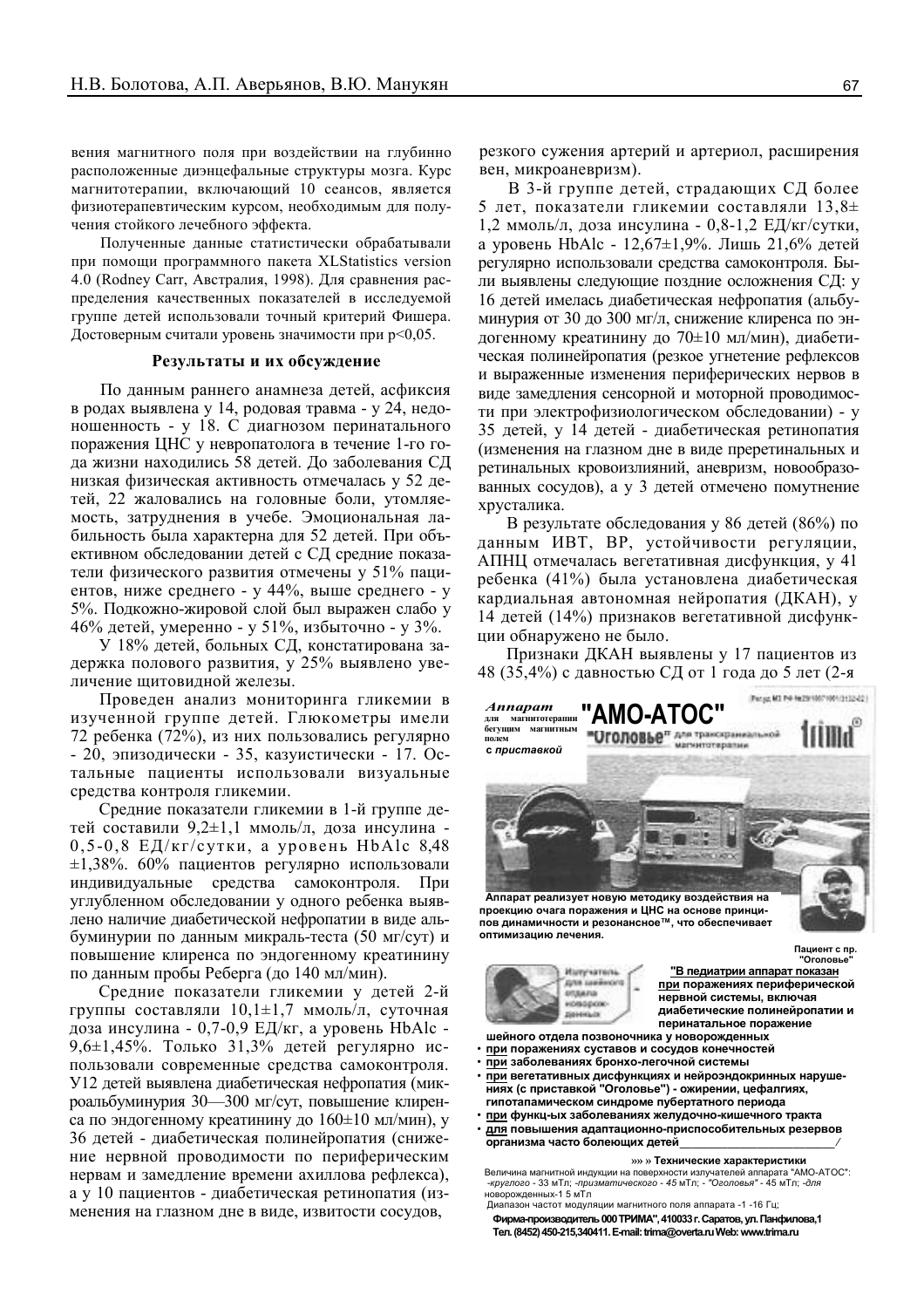вения магнитного поля при воздействии на глубинно расположенные диэнцефальные структуры мозга. Курс магнитотерапии, включающий 10 сеансов, является физиотерапевтическим курсом, необходимым для получения стойкого лечебного эффекта.

Полученные данные статистически обрабатывали при помощи программного пакета XLStatistics version 4.0 (Rodney Carr, Австралия, 1998). Для сравнения распределения качественных показателей в исследуемой группе детей использовали точный критерий Фишера. Достоверным считали уровень значимости при р<0,05.

#### Результаты и их обсуждение

По данным раннего анамнеза детей, асфиксия в родах выявлена у 14, родовая травма - у 24, недоношенность - у 18. С диагнозом перинатального поражения ЦНС у невропатолога в течение 1-го года жизни находились 58 детей. До заболевания СД низкая физическая активность отмечалась у 52 детей, 22 жаловались на головные боли, утомляемость, затруднения в учебе. Эмоциональная лабильность была характерна для 52 детей. При объективном обследовании детей с СД средние показатели физического развития отмечены у 51% пациентов, ниже среднего - у 44%, выше среднего - у 5%. Подкожно-жировой слой был выражен слабо у 46% детей, умеренно - у 51%, избыточно - у 3%.

У 18% детей, больных СД, констатирована задержка полового развития, у 25% выявлено увеличение щитовидной железы.

Проведен анализ мониторинга гликемии в изученной группе детей. Глюкометры имели 72 ребенка (72%), из них пользовались регулярно - 20, эпизодически - 35, казуистически - 17. Остальные пациенты использовали визуальные средства контроля гликемии.

Средние показатели гликемии в 1-й группе детей составили 9.2±1.1 ммоль/л. доза инсулина - $0, 5-0, 8$  ЕД/кг/сутки, а уровень HbAlc 8.48  $\pm 1,38\%$ . 60% пациентов регулярно использовали индивидуальные средства самоконтроля. При углубленном обследовании у одного ребенка выявлено наличие диабетической нефропатии в виде альбуминурии по данным микраль-теста (50 мг/сут) и повышение клиренса по эндогенному креатинину по данным пробы Реберга (до 140 мл/мин).

Средние показатели гликемии у детей 2-й группы составляли  $10,1\pm1,7$  ммоль/л, суточная доза инсулина - 0,7-0,9 ЕД/кг, а уровень HbAlc -9,6 $\pm$ 1,45%. Только 31,3% детей регулярно использовали современные средства самоконтроля. У12 детей выявлена диабетическая нефропатия (микроальбуминурия 30—300 мг/сут, повышение клиренса по эндогенному креатинину до  $160\pm10$  мл/мин), у 36 детей - диабетическая полинейропатия (снижение нервной проводимости по периферическим нервам и замедление времени ахиллова рефлекса), а у 10 пациентов - диабетическая ретинопатия (изменения на глазном дне в виде, извитости сосудов,

резкого сужения артерий и артериол, расширения вен, микроаневризм).

В 3-й группе детей, страдающих СД более 5 лет, показатели гликемии составляли  $13,8\pm$ 1,2 ммоль/л, доза инсулина - 0,8-1,2 ЕД/кг/сутки, а уровень HbAlc - 12,67 $\pm$ 1,9%. Лишь 21,6% детей регулярно использовали средства самоконтроля. Были выявлены следующие поздние осложнения СД: у 16 детей имелась диабетическая нефропатия (альбуминурия от 30 ло 300 мг/л. снижение клиренса по эндогенному креатинину до 70±10 мл/мин), диабетическая полинейропатия (резкое угнетение рефлексов и выраженные изменения периферических нервов в виде замедления сенсорной и моторной проводимости при электрофизиологическом обследовании) - у 35 детей, у 14 детей - диабетическая ретинопатия (изменения на глазном дне в виде преретинальных и ретинальных кровоизлияний, аневризм, новообразованных сосудов), а у 3 детей отмечено помутнение хрусталика.

В результате обследования у 86 детей (86%) по данным ИВТ, ВР, устойчивости регуляции, АПНЦ отмечалась вегетативная дисфункция, у 41 ребенка (41%) была установлена лиабетическая кардиальная автономная нейропатия (ДКАН), у 14 детей (14%) признаков вегетативной дисфункции обнаружено не было.

Признаки ДКАН выявлены у 17 пациентов из 48 (35,4%) с давностью СД от 1 года до 5 лет (2-я



пов динамичности и резонансное™, что обеспечивает оптимизацию лечения.



**Оголовь** "В педиатрии аппарат показан при поражениях периферической нервной системы, включая диабетические полинейропатии и перинатальное поражение

Пациент с пр.

- шейного отдела позвоночника у новорожденных при поражениях суставов и сосудов конечностей
- при заболеваниях бронхо-легочной системы
- при вегетативных дисфункциях и нейроэндокринных нарушениях (с приставкой "Оголовье") - ожирении, цефалгиях, гипотапамическом синдроме пубертатного периода
- при функц-ых заболеваниях желудочно-кишечного тракта для повышения адаптационно-приспособительных резервов
- организма часто болеющих детей

»» » Технические характеристики

Величина магнитной индукции на поверхности излучателей аппарата "AMO-ATOC" -круглого - 33 мТл, -призматического - 45 мТл, - "Оголовья" - 45 мТл. -для новорожденных-1.5 мТл Лиалазон частот молуляции магнитного поля аппарата -1 -16 Гц.

Фирма-производитель 000 ТРИМА", 410033 г. Саратов, ул. Панфилова.1 Ten. (8452) 450-215,340411. E-mail: trima@overta.ru Web: www.trima.ru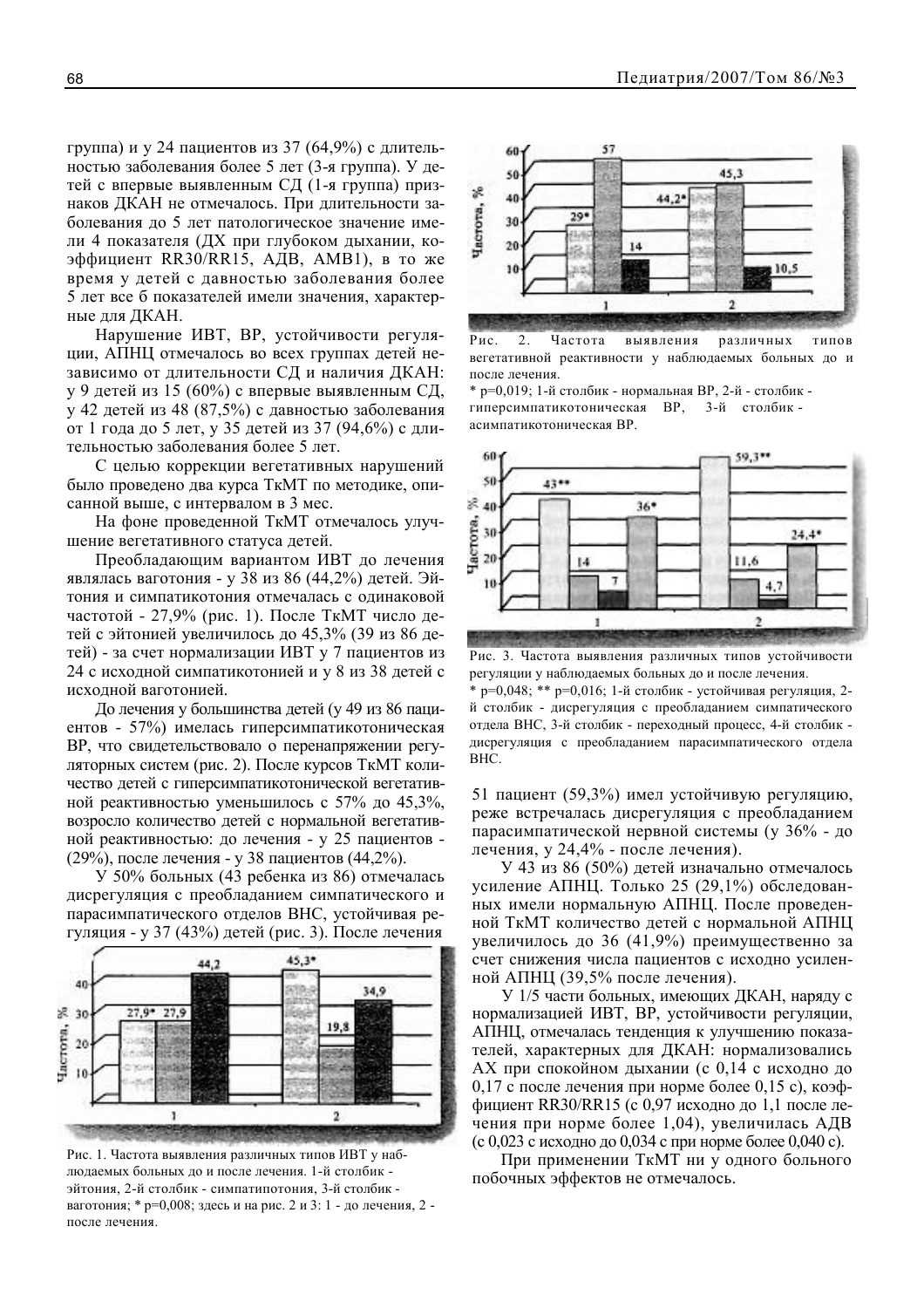группа) и у 24 пациентов из 37 (64,9%) с длительностью заболевания более 5 лет (3-я группа). У детей с впервые выявленным СД (1-я группа) признаков ДКАН не отмечалось. При длительности заболевания до 5 лет патологическое значение имели 4 показателя (ДХ при глубоком дыхании, коэффициент RR30/RR15, AДB, AMB1), в то же время у детей с давностью заболевания более 5 лет все б показателей имели значения, характерные для ДКАН.

Нарушение ИВТ. ВР. устойчивости регуляции, АПНЦ отмечалось во всех группах детей независимо от длительности СД и наличия ДКАН: у 9 детей из 15 (60%) с впервые выявленным СД, у 42 детей из 48 (87,5%) с давностью заболевания от 1 года до 5 лет, у 35 детей из 37 (94,6%) с длительностью заболевания более 5 лет.

С целью коррекции вегетативных нарушений было проведено два курса ТкМТ по методике, описанной выше, с интервалом в 3 мес.

На фоне проведенной ТкМТ отмечалось улучшение вегетативного статуса детей.

Преобладающим вариантом ИВТ до лечения являлась ваготония - у 38 из 86 (44,2%) детей. Эйтония и симпатикотония отмечалась с одинаковой частотой - 27,9% (рис. 1). После ТкМТ число детей с эйтонией увеличилось до 45,3% (39 из 86 детей) - за счет нормализации ИВТ у 7 пациентов из 24 с исходной симпатикотонией и у 8 из 38 детей с исходной ваготонией.

До лечения у большинства детей (у 49 из 86 пациентов - 57%) имелась гиперсимпатикотоническая ВР, что свидетельствовало о перенапряжении регуляторных систем (рис. 2). После курсов ТкМТ количество детей с гиперсимпатикотонической вегетативной реактивностью уменьшилось с 57% до 45.3%. возросло количество детей с нормальной вегетативной реактивностью: до лечения - у 25 пациентов -(29%), после лечения - у 38 пациентов (44,2%).

У 50% больных (43 ребенка из 86) отмечалась дисрегуляция с преобладанием симпатического и парасимпатического отделов ВНС, устойчивая регуляция - у 37 (43%) детей (рис. 3). После лечения



Рис. 1. Частота выявления различных типов ИВТ у наблюдаемых больных до и после лечения. 1-й столбик эйтония, 2-й столбик - симпатипотония, 3-й столбик ваготония; \* р=0,008; здесь и на рис. 2 и 3: 1 - до лечения, 2 после лечения



Рис.  $\overline{2}$ . Частота ТИПОВ выявления различных вегетативной реактивности у наблюдаемых больных до и после лечения.

\* р=0,019; 1-й столбик - нормальная ВР, 2-й - столбик гиперсимпатикотоническая ВР, 3-й столбикасимпатикотоническая ВР.



Рис. 3. Частота выявления различных типов устойчивости регуляции у наблюдаемых больных до и после лечения.

\* p=0,048; \*\* p=0,016; 1-й столбик - устойчивая регуляция, 2й столбик - лисрегуляция с преобладанием симпатического отдела ВНС, 3-й столбик - переходный процесс, 4-й столбик дисрегуляция с преобладанием парасимпатического отдела BHC.

51 пациент (59,3%) имел устойчивую регуляцию, реже встречалась дисрегуляция с преобладанием парасимпатической нервной системы (у 36% - до лечения, у 24,4% - после лечения).

У 43 из 86 (50%) детей изначально отмечалось усиление АПНЦ. Только 25 (29,1%) обследованных имели нормальную АПНЦ. После проведенной ТкМТ количество детей с нормальной АПНЦ увеличилось до 36 (41,9%) преимущественно за счет снижения числа пациентов с исходно усиленной АПНЦ (39,5% после лечения).

У 1/5 части больных, имеющих ДКАН, наряду с нормализацией ИВТ, ВР, устойчивости регуляции, АПНЦ, отмечалась тенденция к улучшению показателей, характерных для ДКАН: нормализовались АХ при спокойном дыхании (с 0,14 с исходно до 0,17 с после лечения при норме более 0,15 с), коэффициент RR30/RR15 (с 0,97 исходно до 1,1 после лечения при норме более 1,04), увеличилась АДВ (с 0,023 с исходно до 0,034 с при норме более 0,040 с).

При применении ТкМТ ни у одного больного побочных эффектов не отмечалось.